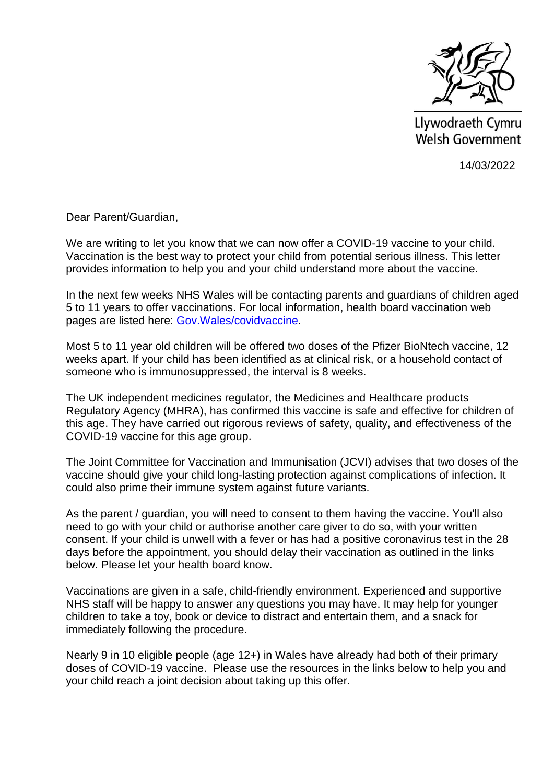

Llywodraeth Cymru Welsh Government

14/03/2022

Dear Parent/Guardian,

We are writing to let you know that we can now offer a COVID-19 vaccine to your child. Vaccination is the best way to protect your child from potential serious illness. This letter provides information to help you and your child understand more about the vaccine.

In the next few weeks NHS Wales will be contacting parents and guardians of children aged 5 to 11 years to offer vaccinations. For local information, health board vaccination web pages are listed here: [Gov.Wales/covidvaccine.](http://gov.wales/covidvaccine)

Most 5 to 11 year old children will be offered two doses of the Pfizer BioNtech vaccine, 12 weeks apart. If your child has been identified as at clinical risk, or a household contact of someone who is immunosuppressed, the interval is 8 weeks.

The UK independent medicines regulator, the Medicines and Healthcare products Regulatory Agency (MHRA), has confirmed this vaccine is safe and effective for children of this age. They have carried out rigorous reviews of safety, quality, and effectiveness of the COVID-19 vaccine for this age group.

The Joint Committee for Vaccination and Immunisation (JCVI) advises that two doses of the vaccine should give your child long-lasting protection against complications of infection. It could also prime their immune system against future variants.

As the parent / guardian, you will need to consent to them having the vaccine. You'll also need to go with your child or authorise another care giver to do so, with your written consent. If your child is unwell with a fever or has had a positive coronavirus test in the 28 days before the appointment, you should delay their vaccination as outlined in the links below. Please let your health board know.

Vaccinations are given in a safe, child-friendly environment. Experienced and supportive NHS staff will be happy to answer any questions you may have. It may help for younger children to take a toy, book or device to distract and entertain them, and a snack for immediately following the procedure.

Nearly 9 in 10 eligible people (age 12+) in Wales have already had both of their primary doses of COVID-19 vaccine. Please use the resources in the links below to help you and your child reach a joint decision about taking up this offer.